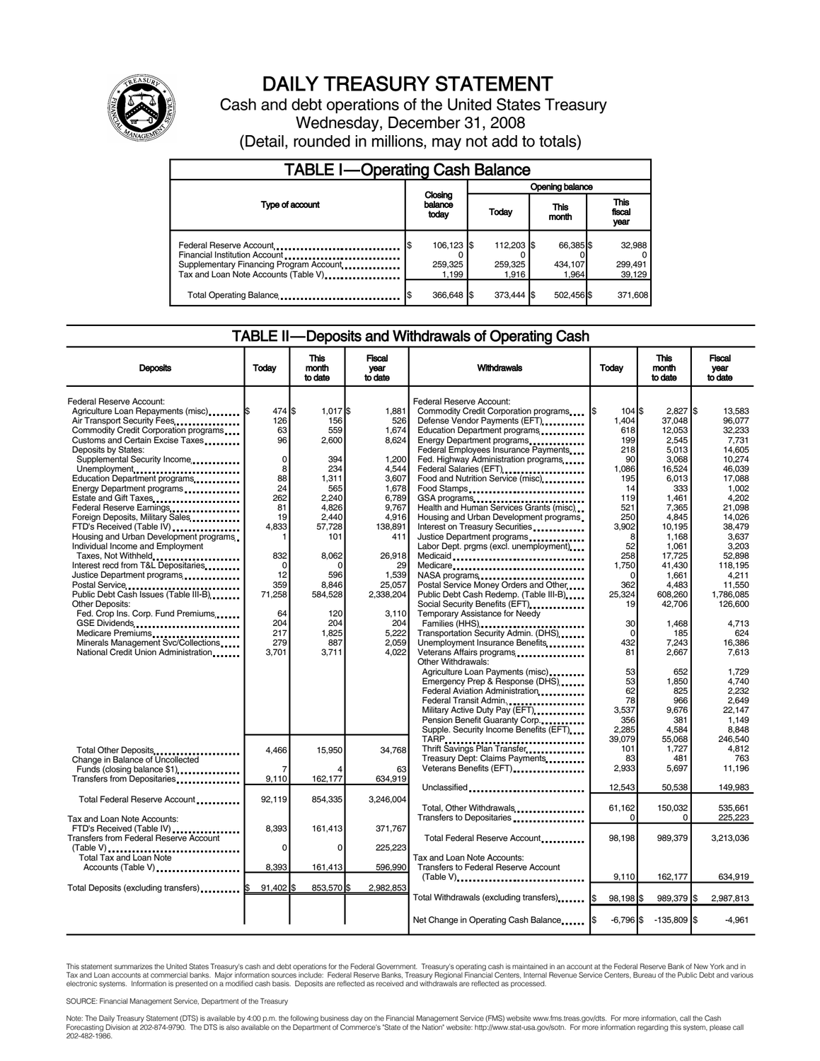

# DAILY TREASURY STATEMENT

Cash and debt operations of the United States Treasury Wednesday, December 31, 2008 (Detail, rounded in millions, may not add to totals)

| <b>TABLE I-Operating Cash Balance</b>                                                               |                                |                                |                               |                             |  |  |  |
|-----------------------------------------------------------------------------------------------------|--------------------------------|--------------------------------|-------------------------------|-----------------------------|--|--|--|
|                                                                                                     |                                | Opening balance                |                               |                             |  |  |  |
| Type of account                                                                                     | Closing<br>balance<br>today    | Today                          | This<br>month                 | This<br>fiscal<br>year      |  |  |  |
| Federal Reserve Account<br>Financial Institution Account<br>Supplementary Financing Program Account | 106,123 \$<br>259,325<br>1.199 | 112,203 \$<br>259,325<br>1.916 | 66,385 \$<br>434,107<br>1.964 | 32,988<br>299,491<br>39,129 |  |  |  |
| Total Operating Balance                                                                             | 366,648 \$                     | 373.444 \$                     | 502,456 \$                    | 371,608                     |  |  |  |

#### TABLE II — Deposits and Withdrawals of Operating Cash

| <b>Deposits</b>                                                                                                         | Todav                    | This<br>month<br>to date | <b>Fiscal</b><br>year<br>to date | Withdrawals                                                                                            | Today                    | This<br>month<br>to date  | Fiscal<br>vear<br>to date  |
|-------------------------------------------------------------------------------------------------------------------------|--------------------------|--------------------------|----------------------------------|--------------------------------------------------------------------------------------------------------|--------------------------|---------------------------|----------------------------|
| Federal Reserve Account:<br>Agriculture Loan Repayments (misc) <b>S</b>                                                 | 474 \$<br>126            | $1.017$ S<br>156         | 1.881<br>526                     | Federal Reserve Account:<br>Commodity Credit Corporation programs                                      | 104S<br>1.404            | $2.827$ S<br>37.048       | 13.583<br>96.077           |
| Air Transport Security Fees<br>Commodity Credit Corporation programs<br>Customs and Certain Excise Taxes                | 63<br>96                 | 559<br>2,600             | 1.674<br>8,624                   | Defense Vendor Payments (EFT)<br>Education Department programs<br>Energy Department programs           | 618<br>199               | 12.053<br>2.545           | 32.233<br>7.731            |
| Deposits by States:<br>Supplemental Security Income                                                                     | $\mathsf 0$              | 394                      | 1.200                            | Federal Employees Insurance Payments<br>Fed. Highway Administration programs                           | 218<br>90                | 5.013<br>3,068            | 14.605<br>10,274           |
| Unemployment<br>Education Department programs                                                                           | 8<br>88                  | 234<br>1,311             | 4,544<br>3,607                   | Federal Salaries (EFT)<br>1991 - Pateral Salaries (EFT)<br>Food and Nutrition Service (misc) [100]     | 1,086<br>195             | 16,524<br>6,013           | 46,039<br>17,088           |
| Energy Department programs<br>Estate and Gift Taxes                                                                     | 24<br>262<br>81          | 565<br>2.240<br>4,826    | 1,678<br>6,789<br>9,767          | Food Stamps<br>GSA programs<br>Health and Human Services Grants (misc)                                 | 14<br>119<br>521         | 333<br>1,461<br>7,365     | 1,002<br>4,202<br>21,098   |
| Federal Reserve Earnings<br>Foreign Deposits, Military Sales<br>FTD's Received (Table IV)                               | 19<br>4,833              | 2.440<br>57,728          | 4.916<br>138,891                 | Housing and Urban Development programs<br>Interest on Treasury Securities                              | 250<br>3,902             | 4.845<br>10,195           | 14.026<br>38.479           |
| Housing and Urban Development programs<br>Individual Income and Employment                                              | 1                        | 101                      | 411                              | Justice Department programs<br>Labor Dept. prgms (excl. unemployment)                                  | 8<br>52                  | 1.168<br>1,061            | 3.637<br>3,203             |
| Taxes, Not Withheld<br>Interest recd from T&L Depositaries<br>Justice Department programs                               | 832<br>$\mathbf 0$<br>12 | 8,062<br>$\Omega$<br>596 | 26,918<br>29<br>1,539            | Medicaid<br>Medicare                                                                                   | 258<br>1,750<br>$\Omega$ | 17,725<br>41,430<br>1,661 | 52,898<br>118.195<br>4,211 |
| Public Debt Cash Issues (Table III-B) [19]                                                                              | 359<br>71,258            | 8,846<br>584,528         | 25,057<br>2,338,204              | Postal Service Money Orders and Other<br>Public Debt Cash Redemp. (Table III-B)                        | 362<br>25,324            | 4,483<br>608,260          | 11.550<br>1,786,085        |
| <b>Other Deposits:</b><br>Fed. Crop Ins. Corp. Fund Premiums                                                            | 64                       | 120                      | 3,110                            | Temporary Assistance for Needy                                                                         | 19                       | 42,706                    | 126.600                    |
| GSE Dividends<br>Minerals Management Svc/Collections                                                                    | 204<br>217<br>279        | 204<br>1.825<br>887      | 204<br>5,222<br>2,059            | Families (HHS)<br>Transportation Security Admin. (DHS)<br>Unemployment Insurance Benefits              | 30<br>$\Omega$<br>432    | 1.468<br>185<br>7,243     | 4.713<br>624<br>16.386     |
| National Credit Union Administration                                                                                    | 3,701                    | 3,711                    | 4,022                            | Veterans Affairs programs<br>Other Withdrawals:                                                        | 81                       | 2,667                     | 7,613                      |
|                                                                                                                         |                          |                          |                                  | Agriculture Loan Payments (misc)<br>Emergency Prep & Response (DHS)<br>Federal Aviation Administration | 53<br>53<br>62           | 652<br>1,850<br>825       | 1.729<br>4,740<br>2.232    |
|                                                                                                                         |                          |                          |                                  | Federal Transit Admin.<br>Military Active Duty Pay (EFT)                                               | 78<br>3.537              | 966<br>9,676              | 2.649<br>22.147            |
|                                                                                                                         |                          |                          |                                  | Pension Benefit Guaranty Corp.<br>Supple. Security Income Benefits (EFT)                               | 356<br>2,285             | 381<br>4,584              | 1.149<br>8.848             |
| Total Other Deposits                                                                                                    | 4,466                    | 15,950                   | 34,768                           | Thrift Savings Plan Transfer<br>Treasury Dept: Claims Payments                                         | 39.079<br>101<br>83      | 55.068<br>1,727<br>481    | 246.540<br>4,812<br>763    |
| Change in Balance of Uncollected<br>Funds (closing balance \$1)<br>Transfers from Depositaries <b>Material Activity</b> | $\overline{7}$<br>9,110  | 162,177                  | 63<br>634,919                    | Veterans Benefits (EFT)                                                                                | 2,933                    | 5,697                     | 11,196                     |
| Total Federal Reserve Account                                                                                           | 92.119                   | 854.335                  | 3.246.004                        | Unclassified                                                                                           | 12,543                   | 50,538                    | 149,983                    |
| Tax and Loan Note Accounts:<br>FTD's Received (Table IV)                                                                | 8,393                    | 161,413                  | 371,767                          | Total, Other Withdrawals<br>Transfers to Depositaries                                                  | 61,162<br>$\Omega$       | 150,032<br>$\mathbf 0$    | 535,661<br>225,223         |
| Transfers from Federal Reserve Account                                                                                  | 0                        | 0                        | 225,223                          | Total Federal Reserve Account                                                                          | 98,198                   | 989,379                   | 3,213,036                  |
| Total Tax and Loan Note<br>Accounts (Table V)                                                                           | 8.393                    | 161,413                  | 596,990                          | Tax and Loan Note Accounts:<br>Transfers to Federal Reserve Account                                    |                          |                           |                            |
| Total Deposits (excluding transfers) [1999]                                                                             | 91.402 \$                | 853,570 \$               | 2.982.853                        | $(Table V)$ ,<br>Total Withdrawals (excluding transfers)                                               | 9,110<br>98,198 \$       | 162,177<br>989,379 \$     | 634,919<br>2,987,813       |
|                                                                                                                         |                          |                          |                                  | Net Change in Operating Cash Balance                                                                   | $-6,796$ \$              | $-135,809$ \$             | $-4,961$                   |
|                                                                                                                         |                          |                          |                                  |                                                                                                        |                          |                           |                            |

This statement summarizes the United States Treasury's cash and debt operations for the Federal Government. Treasury's operating cash is maintained in an account at the Federal Reserve Bank of New York and in Tax and Loan accounts at commercial banks. Major information sources include: Federal Reserve Banks, Treasury Regional Financial Centers, Internal Revenue Service Centers, Bureau of the Public Debt and various<br>electronic s

SOURCE: Financial Management Service, Department of the Treasury

Note: The Daily Treasury Statement (DTS) is available by 4:00 p.m. the following business day on the Financial Management Service (FMS) website www.fms.treas.gov/dts. For more information, call the Cash<br>Forecasting Divisio eas.gov/dts. F<br>For more infor